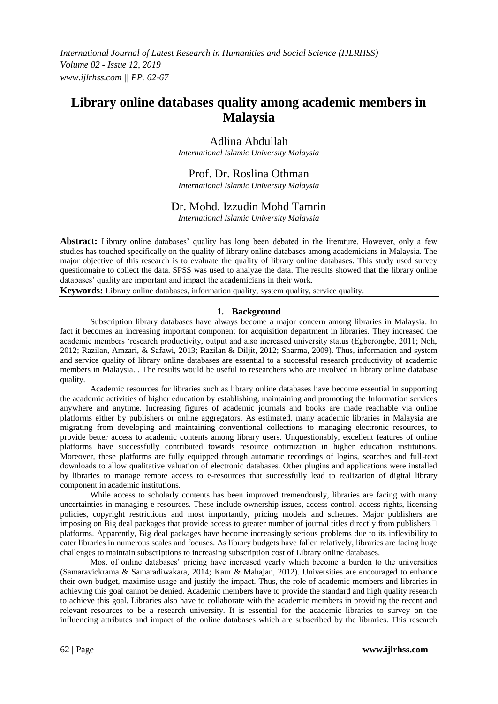# **Library online databases quality among academic members in Malaysia**

# Adlina Abdullah

*International Islamic University Malaysia*

# Prof. Dr. Roslina Othman

*International Islamic University Malaysia*

# Dr. Mohd. Izzudin Mohd Tamrin

*International Islamic University Malaysia*

**Abstract:** Library online databases' quality has long been debated in the literature. However, only a few studies has touched specifically on the quality of library online databases among academicians in Malaysia. The major objective of this research is to evaluate the quality of library online databases. This study used survey questionnaire to collect the data. SPSS was used to analyze the data. The results showed that the library online databases' quality are important and impact the academicians in their work.

**Keywords:** Library online databases, information quality, system quality, service quality.

### **1. Background**

Subscription library databases have always become a major concern among libraries in Malaysia. In fact it becomes an increasing important component for acquisition department in libraries. They increased the academic members 'research productivity, output and also increased university status (Egberongbe, 2011; Noh, 2012; Razilan, Amzari, & Safawi, 2013; Razilan & Diljit, 2012; Sharma, 2009). Thus, information and system and service quality of library online databases are essential to a successful research productivity of academic members in Malaysia. . The results would be useful to researchers who are involved in library online database quality.

Academic resources for libraries such as library online databases have become essential in supporting the academic activities of higher education by establishing, maintaining and promoting the Information services anywhere and anytime. Increasing figures of academic journals and books are made reachable via online platforms either by publishers or online aggregators. As estimated, many academic libraries in Malaysia are migrating from developing and maintaining conventional collections to managing electronic resources, to provide better access to academic contents among library users. Unquestionably, excellent features of online platforms have successfully contributed towards resource optimization in higher education institutions. Moreover, these platforms are fully equipped through automatic recordings of logins, searches and full-text downloads to allow qualitative valuation of electronic databases. Other plugins and applications were installed by libraries to manage remote access to e-resources that successfully lead to realization of digital library component in academic institutions.

While access to scholarly contents has been improved tremendously, libraries are facing with many uncertainties in managing e-resources. These include ownership issues, access control, access rights, licensing policies, copyright restrictions and most importantly, pricing models and schemes. Major publishers are imposing on Big deal packages that provide access to greater number of journal titles directly from publishers  $\Box$ platforms. Apparently, Big deal packages have become increasingly serious problems due to its inflexibility to cater libraries in numerous scales and focuses. As library budgets have fallen relatively, libraries are facing huge challenges to maintain subscriptions to increasing subscription cost of Library online databases.

Most of online databases' pricing have increased yearly which become a burden to the universities (Samaravickrama & Samaradiwakara, 2014; Kaur & Mahajan, 2012). Universities are encouraged to enhance their own budget, maximise usage and justify the impact. Thus, the role of academic members and libraries in achieving this goal cannot be denied. Academic members have to provide the standard and high quality research to achieve this goal. Libraries also have to collaborate with the academic members in providing the recent and relevant resources to be a research university. It is essential for the academic libraries to survey on the influencing attributes and impact of the online databases which are subscribed by the libraries. This research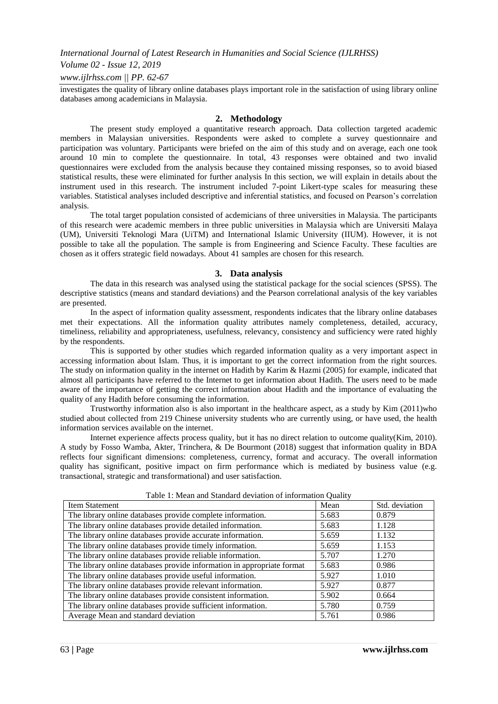*International Journal of Latest Research in Humanities and Social Science (IJLRHSS)*

### *Volume 02 - Issue 12, 2019*

### *www.ijlrhss.com || PP. 62-67*

investigates the quality of library online databases plays important role in the satisfaction of using library online databases among academicians in Malaysia.

#### **2. Methodology**

The present study employed a quantitative research approach. Data collection targeted academic members in Malaysian universities. Respondents were asked to complete a survey questionnaire and participation was voluntary. Participants were briefed on the aim of this study and on average, each one took around 10 min to complete the questionnaire. In total, 43 responses were obtained and two invalid questionnaires were excluded from the analysis because they contained missing responses, so to avoid biased statistical results, these were eliminated for further analysis In this section, we will explain in details about the instrument used in this research. The instrument included 7-point Likert-type scales for measuring these variables. Statistical analyses included descriptive and inferential statistics, and focused on Pearson's correlation analysis.

The total target population consisted of acdemicians of three universities in Malaysia. The participants of this research were academic members in three public universities in Malaysia which are Universiti Malaya (UM), Universiti Teknologi Mara (UiTM) and International Islamic University (IIUM). However, it is not possible to take all the population. The sample is from Engineering and Science Faculty. These faculties are chosen as it offers strategic field nowadays. About 41 samples are chosen for this research.

#### **3. Data analysis**

The data in this research was analysed using the statistical package for the social sciences (SPSS). The descriptive statistics (means and standard deviations) and the Pearson correlational analysis of the key variables are presented.

In the aspect of information quality assessment, respondents indicates that the library online databases met their expectations. All the information quality attributes namely completeness, detailed, accuracy, timeliness, reliability and appropriateness, usefulness, relevancy, consistency and sufficiency were rated highly by the respondents.

This is supported by other studies which regarded information quality as a very important aspect in accessing information about Islam. Thus, it is important to get the correct information from the right sources. The study on information quality in the internet on Hadith by Karim & Hazmi (2005) for example, indicated that almost all participants have referred to the Internet to get information about Hadith. The users need to be made aware of the importance of getting the correct information about Hadith and the importance of evaluating the quality of any Hadith before consuming the information.

Trustworthy information also is also important in the healthcare aspect, as a study by Kim (2011)who studied about collected from 219 Chinese university students who are currently using, or have used, the health information services available on the internet.

Internet experience affects process quality, but it has no direct relation to outcome quality(Kim, 2010). A study by Fosso Wamba, Akter, Trinchera, & De Bourmont (2018) suggest that information quality in BDA reflects four significant dimensions: completeness, currency, format and accuracy. The overall information quality has significant, positive impact on firm performance which is mediated by business value (e.g. transactional, strategic and transformational) and user satisfaction.

| <b>Item Statement</b>                                                  | Mean  | Std. deviation |
|------------------------------------------------------------------------|-------|----------------|
| The library online databases provide complete information.             | 5.683 | 0.879          |
| The library online databases provide detailed information.             | 5.683 | 1.128          |
| The library online databases provide accurate information.             | 5.659 | 1.132          |
| The library online databases provide timely information.               | 5.659 | 1.153          |
| The library online databases provide reliable information.             | 5.707 | 1.270          |
| The library online databases provide information in appropriate format | 5.683 | 0.986          |
| The library online databases provide useful information.               | 5.927 | 1.010          |
| The library online databases provide relevant information.             | 5.927 | 0.877          |
| The library online databases provide consistent information.           | 5.902 | 0.664          |
| The library online databases provide sufficient information.           | 5.780 | 0.759          |
| Average Mean and standard deviation                                    | 5.761 | 0.986          |

Table 1: Mean and Standard deviation of information Quality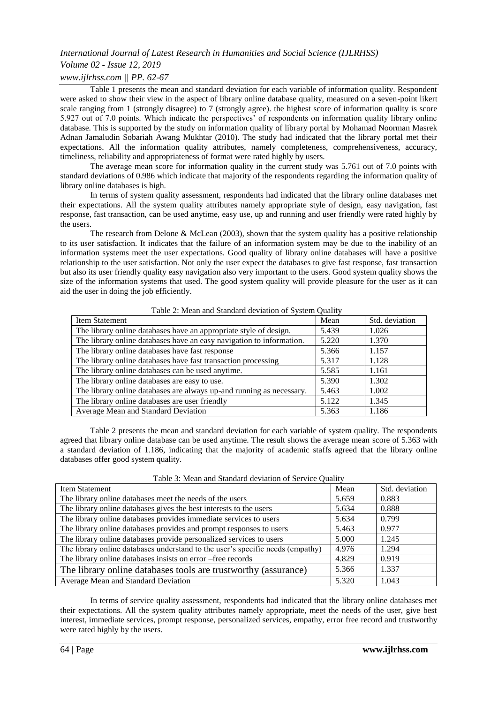# *International Journal of Latest Research in Humanities and Social Science (IJLRHSS)*

# *Volume 02 - Issue 12, 2019*

### *www.ijlrhss.com || PP. 62-67*

Table 1 presents the mean and standard deviation for each variable of information quality. Respondent were asked to show their view in the aspect of library online database quality, measured on a seven-point likert scale ranging from 1 (strongly disagree) to 7 (strongly agree). the highest score of information quality is score 5.927 out of 7.0 points. Which indicate the perspectives' of respondents on information quality library online database. This is supported by the study on information quality of library portal by Mohamad Noorman Masrek Adnan Jamaludin Sobariah Awang Mukhtar (2010). The study had indicated that the library portal met their expectations. All the information quality attributes, namely completeness, comprehensiveness, accuracy, timeliness, reliability and appropriateness of format were rated highly by users.

The average mean score for information quality in the current study was 5.761 out of 7.0 points with standard deviations of 0.986 which indicate that majority of the respondents regarding the information quality of library online databases is high.

In terms of system quality assessment, respondents had indicated that the library online databases met their expectations. All the system quality attributes namely appropriate style of design, easy navigation, fast response, fast transaction, can be used anytime, easy use, up and running and user friendly were rated highly by the users.

The research from Delone & McLean (2003), shown that the system quality has a positive relationship to its user satisfaction. It indicates that the failure of an information system may be due to the inability of an information systems meet the user expectations. Good quality of library online databases will have a positive relationship to the user satisfaction. Not only the user expect the databases to give fast response, fast transaction but also its user friendly quality easy navigation also very important to the users. Good system quality shows the size of the information systems that used. The good system quality will provide pleasure for the user as it can aid the user in doing the job efficiently.

| Item Statement                                                       | Mean  | Std. deviation |
|----------------------------------------------------------------------|-------|----------------|
| The library online databases have an appropriate style of design.    | 5.439 | 1.026          |
| The library online databases have an easy navigation to information. | 5.220 | 1.370          |
| The library online databases have fast response                      | 5.366 | 1.157          |
| The library online databases have fast transaction processing        | 5.317 | 1.128          |
| The library online databases can be used anytime.                    | 5.585 | 1.161          |
| The library online databases are easy to use.                        | 5.390 | 1.302          |
| The library online databases are always up-and running as necessary. | 5.463 | 1.002          |
| The library online databases are user friendly                       | 5.122 | 1.345          |
| Average Mean and Standard Deviation                                  | 5.363 | 1.186          |

Table 2: Mean and Standard deviation of System Quality

Table 2 presents the mean and standard deviation for each variable of system quality. The respondents agreed that library online database can be used anytime. The result shows the average mean score of 5.363 with a standard deviation of 1.186, indicating that the majority of academic staffs agreed that the library online databases offer good system quality.

| Item Statement                                                                 | Mean  | Std. deviation |  |  |  |
|--------------------------------------------------------------------------------|-------|----------------|--|--|--|
| The library online databases meet the needs of the users                       | 5.659 | 0.883          |  |  |  |
| The library online databases gives the best interests to the users             | 5.634 | 0.888          |  |  |  |
| The library online databases provides immediate services to users              | 5.634 | 0.799          |  |  |  |
| The library online databases provides and prompt responses to users            | 5.463 | 0.977          |  |  |  |
| The library online databases provide personalized services to users            | 5.000 | 1.245          |  |  |  |
| The library online databases understand to the user's specific needs (empathy) | 4.976 | 1.294          |  |  |  |
| The library online databases insists on error -free records                    | 4.829 | 0.919          |  |  |  |
| The library online databases tools are trustworthy (assurance)                 | 5.366 | 1.337          |  |  |  |
| Average Mean and Standard Deviation                                            | 5.320 | 1.043          |  |  |  |

Table 3: Mean and Standard deviation of Service Quality

In terms of service quality assessment, respondents had indicated that the library online databases met their expectations. All the system quality attributes namely appropriate, meet the needs of the user, give best interest, immediate services, prompt response, personalized services, empathy, error free record and trustworthy were rated highly by the users.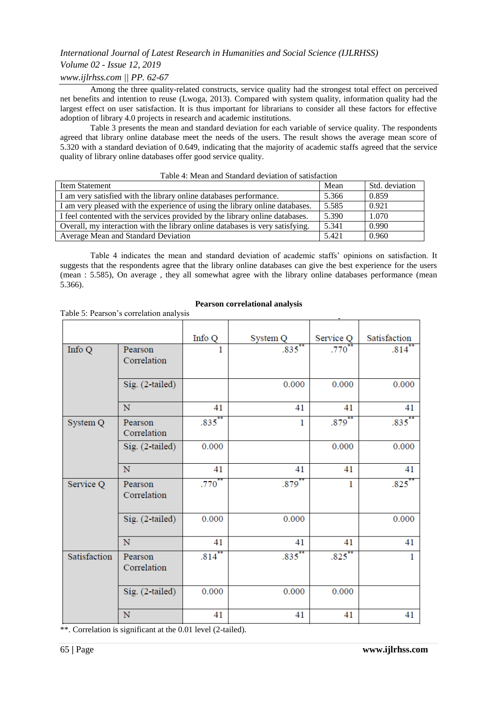# *International Journal of Latest Research in Humanities and Social Science (IJLRHSS)*

## *Volume 02 - Issue 12, 2019*

## *www.ijlrhss.com || PP. 62-67*

Table 5: Pearson's correlation analysis

Among the three quality-related constructs, service quality had the strongest total effect on perceived net benefits and intention to reuse (Lwoga, 2013). Compared with system quality, information quality had the largest effect on user satisfaction. It is thus important for librarians to consider all these factors for effective adoption of library 4.0 projects in research and academic institutions.

Table 3 presents the mean and standard deviation for each variable of service quality. The respondents agreed that library online database meet the needs of the users. The result shows the average mean score of 5.320 with a standard deviation of 0.649, indicating that the majority of academic staffs agreed that the service quality of library online databases offer good service quality.

| Item Statement                                                                | Mean  | Std. deviation |
|-------------------------------------------------------------------------------|-------|----------------|
| I am very satisfied with the library online databases performance.            | 5.366 | 0.859          |
| I am very pleased with the experience of using the library online databases.  | 5.585 | 0.921          |
| I feel contented with the services provided by the library online databases.  | 5.390 | 1.070          |
| Overall, my interaction with the library online databases is very satisfying. | 5.341 | 0.990          |
| Average Mean and Standard Deviation                                           | 5.421 | 0.960          |
|                                                                               |       |                |

### Table 4: Mean and Standard deviation of satisfaction

Table 4 indicates the mean and standard deviation of academic staffs' opinions on satisfaction. It suggests that the respondents agree that the library online databases can give the best experience for the users (mean : 5.585), On average , they all somewhat agree with the library online databases performance (mean 5.366).

|              |                        | Info Q            | System Q     | Service Q    | Satisfaction        |
|--------------|------------------------|-------------------|--------------|--------------|---------------------|
| Info Q       | Pearson<br>Correlation | 1                 | $.835***$    | .770         | $.814$ **           |
|              | Sig. (2-tailed)        |                   | 0.000        | 0.000        | 0.000               |
|              | N                      | 41                | 41           | 41           | 41                  |
| System Q     | Pearson<br>Correlation | $.835$ **         | $\mathbf{1}$ | $.879$ **    | $.835***$           |
|              | Sig. (2-tailed)        | 0.000             |              | 0.000        | 0.000               |
|              | N                      | 41                | 41           | 41           | 41                  |
| Service Q    | Pearson<br>Correlation | .770 <sup>°</sup> | $.879^{*}$   | $\mathbf{1}$ | $.825$ <sup>*</sup> |
|              | Sig. (2-tailed)        | 0.000             | 0.000        |              | 0.000               |
|              | N                      | 41                | 41           | 41           | 41                  |
| Satisfaction | Pearson<br>Correlation | $.814$ **         | $.835***$    | $.825$ **    | 1                   |
|              | Sig. (2-tailed)        | 0.000             | 0.000        | 0.000        |                     |
|              | ${\bf N}$              | 41                | 41           | 41           | 41                  |

\*\*. Correlation is significant at the 0.01 level (2-tailed).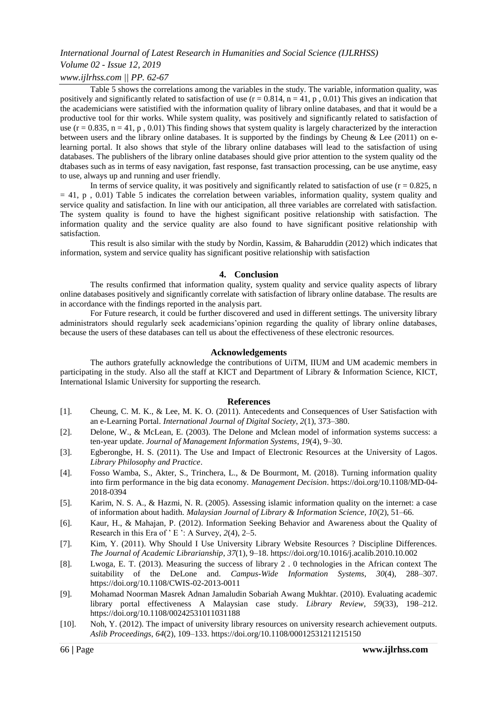# *International Journal of Latest Research in Humanities and Social Science (IJLRHSS) Volume 02 - Issue 12, 2019*

### *www.ijlrhss.com || PP. 62-67*

Table 5 shows the correlations among the variables in the study. The variable, information quality, was positively and significantly related to satisfaction of use  $(r = 0.814, n = 41, p, 0.01)$  This gives an indication that the academicians were satistified with the information quality of library online databases, and that it would be a productive tool for thir works. While system quality, was positively and significantly related to satisfaction of use  $(r = 0.835, n = 41, p, 0.01)$  This finding shows that system quality is largely characterized by the interaction between users and the library online databases. It is supported by the findings by Cheung & Lee (2011) on elearning portal. It also shows that style of the library online databases will lead to the satisfaction of using databases. The publishers of the library online databases should give prior attention to the system quality od the dtabases such as in terms of easy navigation, fast response, fast transaction processing, can be use anytime, easy to use, always up and running and user friendly.

In terms of service quality, it was positively and significantly related to satisfaction of use  $(r = 0.825, n$  $= 41$ , p, 0.01) Table 5 indicates the correlation between variables, information quality, system quality and service quality and satisfaction. In line with our anticipation, all three variables are correlated with satisfaction. The system quality is found to have the highest significant positive relationship with satisfaction. The information quality and the service quality are also found to have significant positive relationship with satisfaction.

This result is also similar with the study by Nordin, Kassim, & Baharuddin (2012) which indicates that information, system and service quality has significant positive relationship with satisfaction

#### **4. Conclusion**

The results confirmed that information quality, system quality and service quality aspects of library online databases positively and significantly correlate with satisfaction of library online database. The results are in accordance with the findings reported in the analysis part.

For Future research, it could be further discovered and used in different settings. The university library administrators should regularly seek academicians'opinion regarding the quality of library online databases, because the users of these databases can tell us about the effectiveness of these electronic resources.

#### **Acknowledgements**

The authors gratefully acknowledge the contributions of UiTM, IIUM and UM academic members in participating in the study. Also all the staff at KICT and Department of Library & Information Science, KICT, International Islamic University for supporting the research.

#### **References**

- [1]. Cheung, C. M. K., & Lee, M. K. O. (2011). Antecedents and Consequences of User Satisfaction with an e-Learning Portal. *International Journal of Digital Society*, *2*(1), 373–380.
- [2]. Delone, W., & McLean, E. (2003). The Delone and Mclean model of information systems success: a ten-year update. *Journal of Management Information Systems*, *19*(4), 9–30.
- [3]. Egberongbe, H. S. (2011). The Use and Impact of Electronic Resources at the University of Lagos. *Library Philosophy and Practice*.
- [4]. Fosso Wamba, S., Akter, S., Trinchera, L., & De Bourmont, M. (2018). Turning information quality into firm performance in the big data economy. *Management Decision*. https://doi.org/10.1108/MD-04- 2018-0394
- [5]. Karim, N. S. A., & Hazmi, N. R. (2005). Assessing islamic information quality on the internet: a case of information about hadith. *Malaysian Journal of Library & Information Science, 10*(2), 51–66.
- [6]. Kaur, H., & Mahajan, P. (2012). Information Seeking Behavior and Awareness about the Quality of Research in this Era of ' E ': A Survey, *2*(4), 2–5.
- [7]. Kim, Y. (2011). Why Should I Use University Library Website Resources ? Discipline Differences. *The Journal of Academic Librarianship*, *37*(1), 9–18. https://doi.org/10.1016/j.acalib.2010.10.002
- [8]. Lwoga, E. T. (2013). Measuring the success of library 2 . 0 technologies in the African context The suitability of the DeLone and. *Campus-Wide Information Systems*, *30*(4), 288–307. https://doi.org/10.1108/CWIS-02-2013-0011
- [9]. Mohamad Noorman Masrek Adnan Jamaludin Sobariah Awang Mukhtar. (2010). Evaluating academic library portal effectiveness A Malaysian case study. *Library Review*, *59*(33), 198–212. https://doi.org/10.1108/00242531011031188
- [10]. Noh, Y. (2012). The impact of university library resources on university research achievement outputs. *Aslib Proceedings*, *64*(2), 109–133. https://doi.org/10.1108/00012531211215150